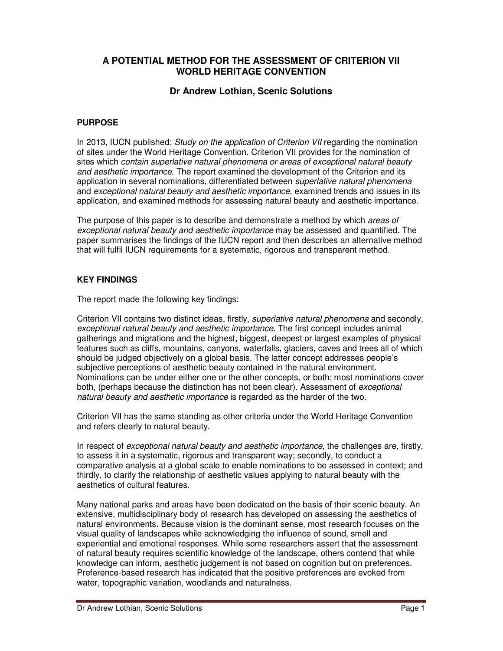## **A POTENTIAL METHOD FOR THE ASSESSMENT OF CRITERION VII WORLD HERITAGE CONVENTION**

## **Dr Andrew Lothian, Scenic Solutions**

## **PURPOSE**

In 2013, IUCN published: *Study on the application of Criterion VII* regarding the nomination of sites under the World Heritage Convention. Criterion VII provides for the nomination of sites which *contain superlative natural phenomena or areas of exceptional natural beauty and aesthetic importance*. The report examined the development of the Criterion and its application in several nominations, differentiated between *superlative natural phenomena*  and *exceptional natural beauty and aesthetic importance*, examined trends and issues in its application, and examined methods for assessing natural beauty and aesthetic importance.

The purpose of this paper is to describe and demonstrate a method by which *areas of exceptional natural beauty and aesthetic importance* may be assessed and quantified. The paper summarises the findings of the IUCN report and then describes an alternative method that will fulfil IUCN requirements for a systematic, rigorous and transparent method.

## **KEY FINDINGS**

The report made the following key findings:

Criterion VII contains two distinct ideas, firstly, *superlative natural phenomena* and secondly, *exceptional natural beauty and aesthetic importance*. The first concept includes animal gatherings and migrations and the highest, biggest, deepest or largest examples of physical features such as cliffs, mountains, canyons, waterfalls, glaciers, caves and trees all of which should be judged objectively on a global basis. The latter concept addresses people's subjective perceptions of aesthetic beauty contained in the natural environment. Nominations can be under either one or the other concepts, or both; most nominations cover both, (perhaps because the distinction has not been clear). Assessment of *exceptional natural beauty and aesthetic importance* is regarded as the harder of the two.

Criterion VII has the same standing as other criteria under the World Heritage Convention and refers clearly to natural beauty.

In respect of *exceptional natural beauty and aesthetic importance*, the challenges are, firstly, to assess it in a systematic, rigorous and transparent way; secondly, to conduct a comparative analysis at a global scale to enable nominations to be assessed in context; and thirdly, to clarify the relationship of aesthetic values applying to natural beauty with the aesthetics of cultural features.

Many national parks and areas have been dedicated on the basis of their scenic beauty. An extensive, multidisciplinary body of research has developed on assessing the aesthetics of natural environments. Because vision is the dominant sense, most research focuses on the visual quality of landscapes while acknowledging the influence of sound, smell and experiential and emotional responses. While some researchers assert that the assessment of natural beauty requires scientific knowledge of the landscape, others contend that while knowledge can inform, aesthetic judgement is not based on cognition but on preferences. Preference-based research has indicated that the positive preferences are evoked from water, topographic variation, woodlands and naturalness.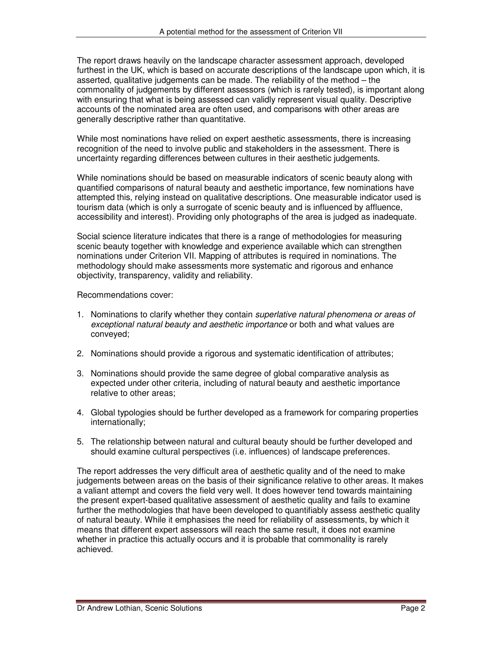The report draws heavily on the landscape character assessment approach, developed furthest in the UK, which is based on accurate descriptions of the landscape upon which, it is asserted, qualitative judgements can be made. The reliability of the method – the commonality of judgements by different assessors (which is rarely tested), is important along with ensuring that what is being assessed can validly represent visual quality. Descriptive accounts of the nominated area are often used, and comparisons with other areas are generally descriptive rather than quantitative.

While most nominations have relied on expert aesthetic assessments, there is increasing recognition of the need to involve public and stakeholders in the assessment. There is uncertainty regarding differences between cultures in their aesthetic judgements.

While nominations should be based on measurable indicators of scenic beauty along with quantified comparisons of natural beauty and aesthetic importance, few nominations have attempted this, relying instead on qualitative descriptions. One measurable indicator used is tourism data (which is only a surrogate of scenic beauty and is influenced by affluence, accessibility and interest). Providing only photographs of the area is judged as inadequate.

Social science literature indicates that there is a range of methodologies for measuring scenic beauty together with knowledge and experience available which can strengthen nominations under Criterion VII. Mapping of attributes is required in nominations. The methodology should make assessments more systematic and rigorous and enhance objectivity, transparency, validity and reliability.

Recommendations cover:

- 1. Nominations to clarify whether they contain *superlative natural phenomena or areas of exceptional natural beauty and aesthetic importance* or both and what values are conveyed;
- 2. Nominations should provide a rigorous and systematic identification of attributes;
- 3. Nominations should provide the same degree of global comparative analysis as expected under other criteria, including of natural beauty and aesthetic importance relative to other areas;
- 4. Global typologies should be further developed as a framework for comparing properties internationally;
- 5. The relationship between natural and cultural beauty should be further developed and should examine cultural perspectives (i.e. influences) of landscape preferences.

The report addresses the very difficult area of aesthetic quality and of the need to make judgements between areas on the basis of their significance relative to other areas. It makes a valiant attempt and covers the field very well. It does however tend towards maintaining the present expert-based qualitative assessment of aesthetic quality and fails to examine further the methodologies that have been developed to quantifiably assess aesthetic quality of natural beauty. While it emphasises the need for reliability of assessments, by which it means that different expert assessors will reach the same result, it does not examine whether in practice this actually occurs and it is probable that commonality is rarely achieved.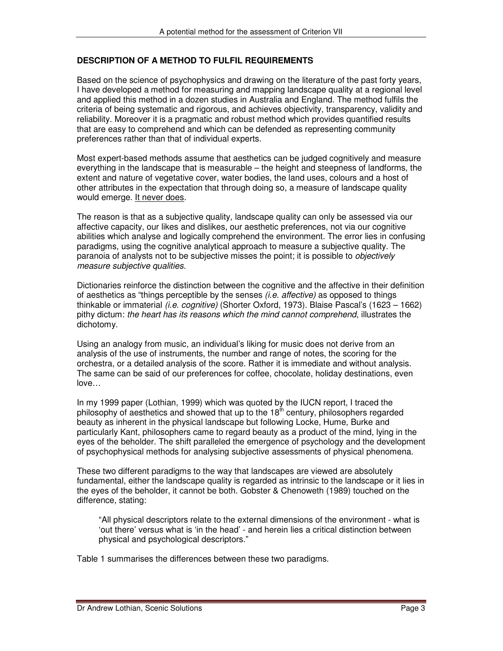## **DESCRIPTION OF A METHOD TO FULFIL REQUIREMENTS**

Based on the science of psychophysics and drawing on the literature of the past forty years, I have developed a method for measuring and mapping landscape quality at a regional level and applied this method in a dozen studies in Australia and England. The method fulfils the criteria of being systematic and rigorous, and achieves objectivity, transparency, validity and reliability. Moreover it is a pragmatic and robust method which provides quantified results that are easy to comprehend and which can be defended as representing community preferences rather than that of individual experts.

Most expert-based methods assume that aesthetics can be judged cognitively and measure everything in the landscape that is measurable – the height and steepness of landforms, the extent and nature of vegetative cover, water bodies, the land uses, colours and a host of other attributes in the expectation that through doing so, a measure of landscape quality would emerge. It never does.

The reason is that as a subjective quality, landscape quality can only be assessed via our affective capacity, our likes and dislikes, our aesthetic preferences, not via our cognitive abilities which analyse and logically comprehend the environment. The error lies in confusing paradigms, using the cognitive analytical approach to measure a subjective quality. The paranoia of analysts not to be subjective misses the point; it is possible to *objectively measure subjective qualities.*

Dictionaries reinforce the distinction between the cognitive and the affective in their definition of aesthetics as "things perceptible by the senses *(i.e. affective)* as opposed to things thinkable or immaterial *(i.e. cognitive)* (Shorter Oxford, 1973). Blaise Pascal's (1623 – 1662) pithy dictum: *the heart has its reasons which the mind cannot comprehend*, illustrates the dichotomy.

Using an analogy from music, an individual's liking for music does not derive from an analysis of the use of instruments, the number and range of notes, the scoring for the orchestra, or a detailed analysis of the score. Rather it is immediate and without analysis. The same can be said of our preferences for coffee, chocolate, holiday destinations, even love…

In my 1999 paper (Lothian, 1999) which was quoted by the IUCN report, I traced the philosophy of aesthetics and showed that up to the  $18<sup>th</sup>$  century, philosophers regarded beauty as inherent in the physical landscape but following Locke, Hume, Burke and particularly Kant, philosophers came to regard beauty as a product of the mind, lying in the eyes of the beholder. The shift paralleled the emergence of psychology and the development of psychophysical methods for analysing subjective assessments of physical phenomena.

These two different paradigms to the way that landscapes are viewed are absolutely fundamental, either the landscape quality is regarded as intrinsic to the landscape or it lies in the eyes of the beholder, it cannot be both. Gobster & Chenoweth (1989) touched on the difference, stating:

"All physical descriptors relate to the external dimensions of the environment - what is 'out there' versus what is 'in the head' - and herein lies a critical distinction between physical and psychological descriptors."

Table 1 summarises the differences between these two paradigms.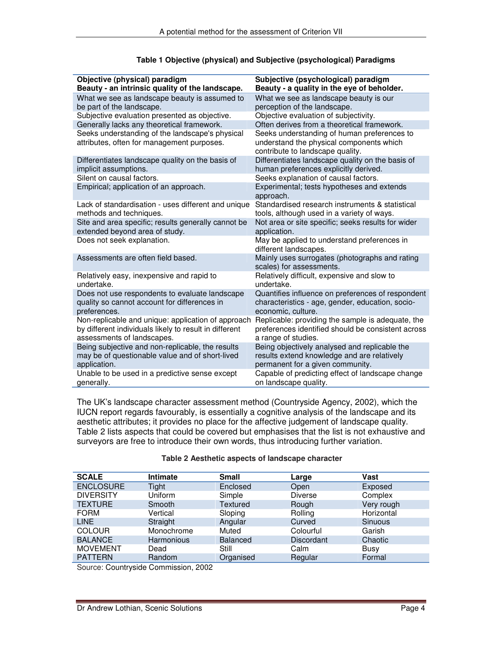| Objective (physical) paradigm<br>Beauty - an intrinsic quality of the landscape. | Subjective (psychological) paradigm<br>Beauty - a quality in the eye of beholder. |
|----------------------------------------------------------------------------------|-----------------------------------------------------------------------------------|
|                                                                                  |                                                                                   |
| What we see as landscape beauty is assumed to                                    | What we see as landscape beauty is our                                            |
| be part of the landscape.                                                        | perception of the landscape.                                                      |
| Subjective evaluation presented as objective.                                    | Objective evaluation of subjectivity.                                             |
| Generally lacks any theoretical framework.                                       | Often derives from a theoretical framework.                                       |
| Seeks understanding of the landscape's physical                                  | Seeks understanding of human preferences to                                       |
| attributes, often for management purposes.                                       | understand the physical components which<br>contribute to landscape quality.      |
|                                                                                  |                                                                                   |
| Differentiates landscape quality on the basis of                                 | Differentiates landscape quality on the basis of                                  |
| implicit assumptions.                                                            | human preferences explicitly derived.                                             |
| Silent on causal factors.                                                        | Seeks explanation of causal factors.                                              |
| Empirical; application of an approach.                                           | Experimental; tests hypotheses and extends<br>approach.                           |
| Lack of standardisation - uses different and unique                              | Standardised research instruments & statistical                                   |
| methods and techniques.                                                          | tools, although used in a variety of ways.                                        |
| Site and area specific; results generally cannot be                              | Not area or site specific; seeks results for wider                                |
| extended beyond area of study.                                                   | application.                                                                      |
| Does not seek explanation.                                                       | May be applied to understand preferences in                                       |
|                                                                                  | different landscapes.                                                             |
| Assessments are often field based.                                               | Mainly uses surrogates (photographs and rating                                    |
|                                                                                  | scales) for assessments.                                                          |
| Relatively easy, inexpensive and rapid to                                        | Relatively difficult, expensive and slow to                                       |
| undertake.                                                                       | undertake.                                                                        |
| Does not use respondents to evaluate landscape                                   | Quantifies influence on preferences of respondent                                 |
| quality so cannot account for differences in                                     | characteristics - age, gender, education, socio-                                  |
| preferences.                                                                     | economic, culture.                                                                |
| Non-replicable and unique: application of approach                               | Replicable: providing the sample is adequate, the                                 |
| by different individuals likely to result in different                           | preferences identified should be consistent across                                |
| assessments of landscapes.                                                       | a range of studies.                                                               |
| Being subjective and non-replicable, the results                                 | Being objectively analysed and replicable the                                     |
| may be of questionable value and of short-lived                                  | results extend knowledge and are relatively                                       |
| application.                                                                     | permanent for a given community.                                                  |
|                                                                                  |                                                                                   |
| Unable to be used in a predictive sense except                                   | Capable of predicting effect of landscape change                                  |
| generally.                                                                       | on landscape quality.                                                             |

### **Table 1 Objective (physical) and Subjective (psychological) Paradigms**

The UK's landscape character assessment method (Countryside Agency, 2002), which the IUCN report regards favourably, is essentially a cognitive analysis of the landscape and its aesthetic attributes; it provides no place for the affective judgement of landscape quality. Table 2 lists aspects that could be covered but emphasises that the list is not exhaustive and surveyors are free to introduce their own words, thus introducing further variation.

#### **Table 2 Aesthetic aspects of landscape character**

| <b>SCALE</b>     | <b>Intimate</b>   | <b>Small</b>    | Large             | Vast           |
|------------------|-------------------|-----------------|-------------------|----------------|
| <b>ENCLOSURE</b> | Tight             | Enclosed        | Open              | Exposed        |
| <b>DIVERSITY</b> | Uniform           | Simple          | <b>Diverse</b>    | Complex        |
| <b>TEXTURE</b>   | Smooth            | <b>Textured</b> | Rough             | Very rough     |
| <b>FORM</b>      | Vertical          | Sloping         | Rolling           | Horizontal     |
| <b>LINE</b>      | Straight          | Angular         | Curved            | <b>Sinuous</b> |
| <b>COLOUR</b>    | Monochrome        | Muted           | Colourful         | Garish         |
| <b>BALANCE</b>   | <b>Harmonious</b> | <b>Balanced</b> | <b>Discordant</b> | Chaotic        |
| <b>MOVEMENT</b>  | Dead              | Still           | Calm              | Busy           |
| <b>PATTERN</b>   | Random            | Organised       | Regular           | Formal         |

Source: Countryside Commission, 2002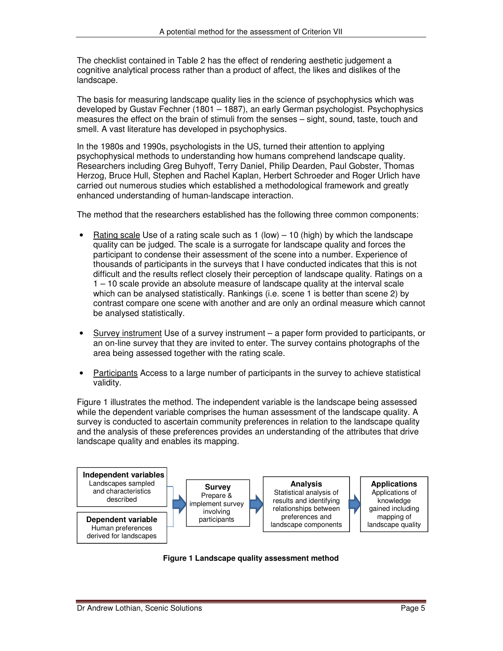The checklist contained in Table 2 has the effect of rendering aesthetic judgement a cognitive analytical process rather than a product of affect, the likes and dislikes of the landscape.

The basis for measuring landscape quality lies in the science of psychophysics which was developed by Gustav Fechner (1801 – 1887), an early German psychologist. Psychophysics measures the effect on the brain of stimuli from the senses – sight, sound, taste, touch and smell. A vast literature has developed in psychophysics.

In the 1980s and 1990s, psychologists in the US, turned their attention to applying psychophysical methods to understanding how humans comprehend landscape quality. Researchers including Greg Buhyoff, Terry Daniel, Philip Dearden, Paul Gobster, Thomas Herzog, Bruce Hull, Stephen and Rachel Kaplan, Herbert Schroeder and Roger Urlich have carried out numerous studies which established a methodological framework and greatly enhanced understanding of human-landscape interaction.

The method that the researchers established has the following three common components:

- <u>Rating scale</u> Use of a rating scale such as  $1$  (low) 10 (high) by which the landscape quality can be judged. The scale is a surrogate for landscape quality and forces the participant to condense their assessment of the scene into a number. Experience of thousands of participants in the surveys that I have conducted indicates that this is not difficult and the results reflect closely their perception of landscape quality. Ratings on a 1 – 10 scale provide an absolute measure of landscape quality at the interval scale which can be analysed statistically. Rankings (i.e. scene 1 is better than scene 2) by contrast compare one scene with another and are only an ordinal measure which cannot be analysed statistically.
- Survey instrument Use of a survey instrument a paper form provided to participants, or an on-line survey that they are invited to enter. The survey contains photographs of the area being assessed together with the rating scale.
- Participants Access to a large number of participants in the survey to achieve statistical validity.

Figure 1 illustrates the method. The independent variable is the landscape being assessed while the dependent variable comprises the human assessment of the landscape quality. A survey is conducted to ascertain community preferences in relation to the landscape quality and the analysis of these preferences provides an understanding of the attributes that drive landscape quality and enables its mapping.



**Figure 1 Landscape quality assessment method**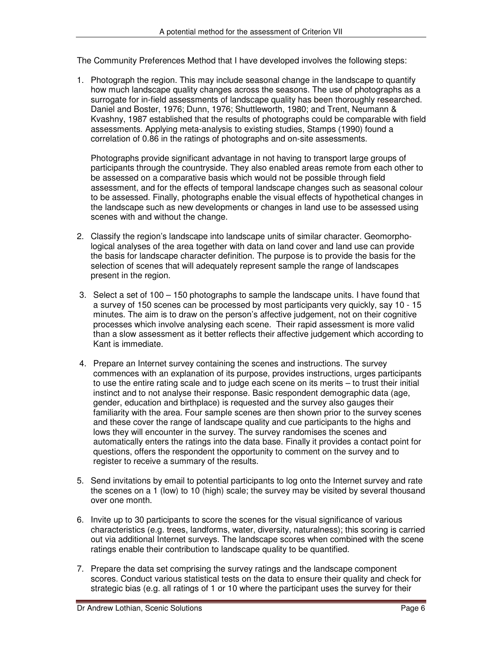The Community Preferences Method that I have developed involves the following steps:

1. Photograph the region. This may include seasonal change in the landscape to quantify how much landscape quality changes across the seasons. The use of photographs as a surrogate for in-field assessments of landscape quality has been thoroughly researched. Daniel and Boster, 1976; Dunn, 1976; Shuttleworth, 1980; and Trent, Neumann & Kvashny, 1987 established that the results of photographs could be comparable with field assessments. Applying meta-analysis to existing studies, Stamps (1990) found a correlation of 0.86 in the ratings of photographs and on-site assessments.

Photographs provide significant advantage in not having to transport large groups of participants through the countryside. They also enabled areas remote from each other to be assessed on a comparative basis which would not be possible through field assessment, and for the effects of temporal landscape changes such as seasonal colour to be assessed. Finally, photographs enable the visual effects of hypothetical changes in the landscape such as new developments or changes in land use to be assessed using scenes with and without the change.

- 2. Classify the region's landscape into landscape units of similar character. Geomorphological analyses of the area together with data on land cover and land use can provide the basis for landscape character definition. The purpose is to provide the basis for the selection of scenes that will adequately represent sample the range of landscapes present in the region.
- 3. Select a set of 100 150 photographs to sample the landscape units. I have found that a survey of 150 scenes can be processed by most participants very quickly, say 10 - 15 minutes. The aim is to draw on the person's affective judgement, not on their cognitive processes which involve analysing each scene. Their rapid assessment is more valid than a slow assessment as it better reflects their affective judgement which according to Kant is immediate.
- 4. Prepare an Internet survey containing the scenes and instructions. The survey commences with an explanation of its purpose, provides instructions, urges participants to use the entire rating scale and to judge each scene on its merits – to trust their initial instinct and to not analyse their response. Basic respondent demographic data (age, gender, education and birthplace) is requested and the survey also gauges their familiarity with the area. Four sample scenes are then shown prior to the survey scenes and these cover the range of landscape quality and cue participants to the highs and lows they will encounter in the survey. The survey randomises the scenes and automatically enters the ratings into the data base. Finally it provides a contact point for questions, offers the respondent the opportunity to comment on the survey and to register to receive a summary of the results.
- 5. Send invitations by email to potential participants to log onto the Internet survey and rate the scenes on a 1 (low) to 10 (high) scale; the survey may be visited by several thousand over one month.
- 6. Invite up to 30 participants to score the scenes for the visual significance of various characteristics (e.g. trees, landforms, water, diversity, naturalness); this scoring is carried out via additional Internet surveys. The landscape scores when combined with the scene ratings enable their contribution to landscape quality to be quantified.
- 7. Prepare the data set comprising the survey ratings and the landscape component scores. Conduct various statistical tests on the data to ensure their quality and check for strategic bias (e.g. all ratings of 1 or 10 where the participant uses the survey for their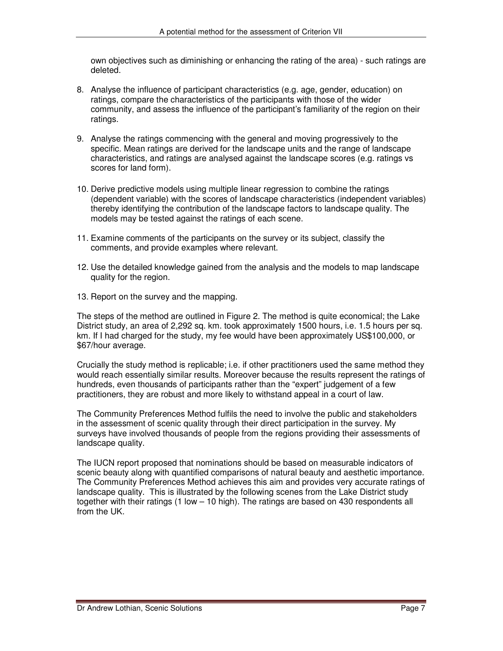own objectives such as diminishing or enhancing the rating of the area) - such ratings are deleted.

- 8. Analyse the influence of participant characteristics (e.g. age, gender, education) on ratings, compare the characteristics of the participants with those of the wider community, and assess the influence of the participant's familiarity of the region on their ratings.
- 9. Analyse the ratings commencing with the general and moving progressively to the specific. Mean ratings are derived for the landscape units and the range of landscape characteristics, and ratings are analysed against the landscape scores (e.g. ratings vs scores for land form).
- 10. Derive predictive models using multiple linear regression to combine the ratings (dependent variable) with the scores of landscape characteristics (independent variables) thereby identifying the contribution of the landscape factors to landscape quality. The models may be tested against the ratings of each scene.
- 11. Examine comments of the participants on the survey or its subject, classify the comments, and provide examples where relevant.
- 12. Use the detailed knowledge gained from the analysis and the models to map landscape quality for the region.
- 13. Report on the survey and the mapping.

The steps of the method are outlined in Figure 2. The method is quite economical; the Lake District study, an area of 2,292 sq. km. took approximately 1500 hours, i.e. 1.5 hours per sq. km. If I had charged for the study, my fee would have been approximately US\$100,000, or \$67/hour average.

Crucially the study method is replicable; i.e. if other practitioners used the same method they would reach essentially similar results. Moreover because the results represent the ratings of hundreds, even thousands of participants rather than the "expert" judgement of a few practitioners, they are robust and more likely to withstand appeal in a court of law.

The Community Preferences Method fulfils the need to involve the public and stakeholders in the assessment of scenic quality through their direct participation in the survey. My surveys have involved thousands of people from the regions providing their assessments of landscape quality.

The IUCN report proposed that nominations should be based on measurable indicators of scenic beauty along with quantified comparisons of natural beauty and aesthetic importance. The Community Preferences Method achieves this aim and provides very accurate ratings of landscape quality. This is illustrated by the following scenes from the Lake District study together with their ratings (1 low – 10 high). The ratings are based on 430 respondents all from the UK.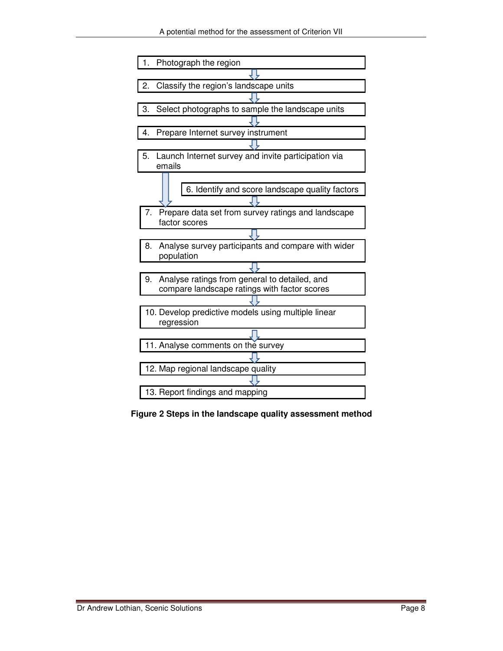

**Figure 2 Steps in the landscape quality assessment method**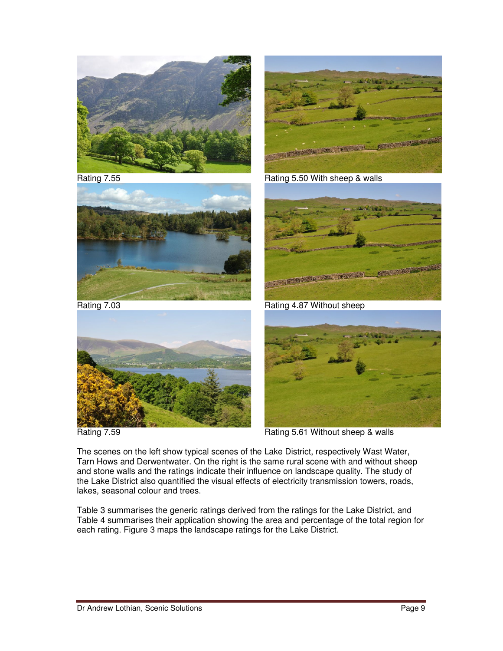

Rating 7.55



Rating 5.50 With sheep & walls



Rating 7.03



Rating 7.59



Rating 4.87 Without sheep



Rating 5.61 Without sheep & walls

The scenes on the left show typical scenes of the Lake District, respectively Wast Water, Tarn Hows and Derwentwater. On the right is the same rural scene with and without sheep and stone walls and the ratings indicate their influence on landscape quality. The study of the Lake District also quantified the visual effects of electricity transmission towers, roads, lakes, seasonal colour and trees.

Table 3 summarises the generic ratings derived from the ratings for the Lake District, and Table 4 summarises their application showing the area and percentage of the total region for each rating. Figure 3 maps the landscape ratings for the Lake District.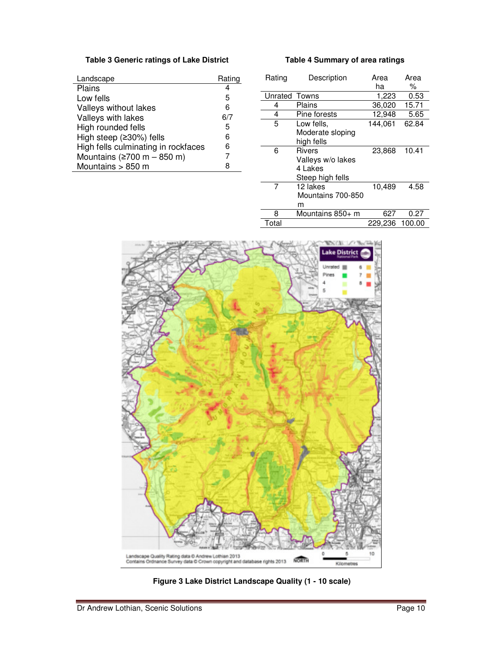# **Table 3 Generic ratings of Lake District**

| Landscape                           | Rating |
|-------------------------------------|--------|
| Plains                              | 4      |
| Low fells                           | 5      |
| Valleys without lakes               | 6      |
| Valleys with lakes                  | 6/7    |
| High rounded fells                  | 5      |
| High steep (≥30%) fells             | 6      |
| High fells culminating in rockfaces | 6      |
| Mountains ( $\geq$ 700 m - 850 m)   | 7      |
| Mountains > 850 m                   | 8      |

| Rating  | Description       | Area<br>ha | Area<br>% |
|---------|-------------------|------------|-----------|
| Unrated | Towns             | 1,223      | 0.53      |
| 4       | Plains            | 36,020     | 15.71     |
| 4       | Pine forests      | 12,948     | 5.65      |
| 5       | Low fells,        | 144,061    | 62.84     |
|         | Moderate sloping  |            |           |
|         | high fells        |            |           |
| 6       | <b>Rivers</b>     | 23,868     | 10.41     |
|         | Valleys w/o lakes |            |           |
|         | 4 Lakes           |            |           |
|         | Steep high fells  |            |           |
| 7       | 12 lakes          | 10,489     | 4.58      |
|         | Mountains 700-850 |            |           |
|         | m                 |            |           |
| 8       | Mountains 850+ m  | 627        | 0.27      |
| Total   |                   | 229,236    | 100.00    |

**Table 4 Summary of area ratings** 



**Figure 3 Lake District Landscape Quality (1 - 10 scale)**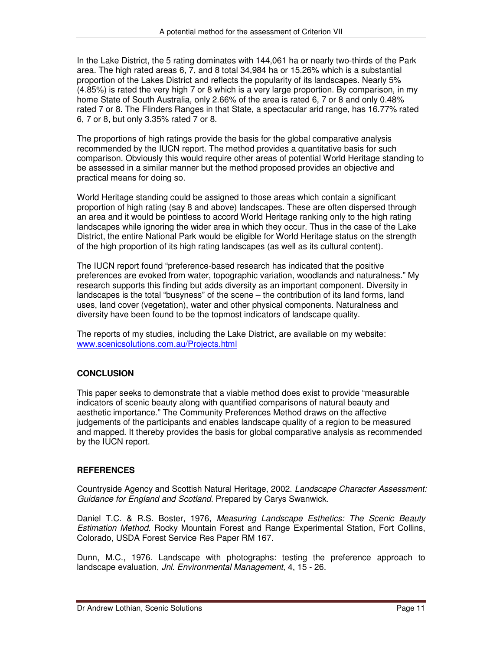In the Lake District, the 5 rating dominates with 144,061 ha or nearly two-thirds of the Park area. The high rated areas 6, 7, and 8 total 34,984 ha or 15.26% which is a substantial proportion of the Lakes District and reflects the popularity of its landscapes. Nearly 5% (4.85%) is rated the very high 7 or 8 which is a very large proportion. By comparison, in my home State of South Australia, only 2.66% of the area is rated 6, 7 or 8 and only 0.48% rated 7 or 8. The Flinders Ranges in that State, a spectacular arid range, has 16.77% rated 6, 7 or 8, but only 3.35% rated 7 or 8.

The proportions of high ratings provide the basis for the global comparative analysis recommended by the IUCN report. The method provides a quantitative basis for such comparison. Obviously this would require other areas of potential World Heritage standing to be assessed in a similar manner but the method proposed provides an objective and practical means for doing so.

World Heritage standing could be assigned to those areas which contain a significant proportion of high rating (say 8 and above) landscapes. These are often dispersed through an area and it would be pointless to accord World Heritage ranking only to the high rating landscapes while ignoring the wider area in which they occur. Thus in the case of the Lake District, the entire National Park would be eligible for World Heritage status on the strength of the high proportion of its high rating landscapes (as well as its cultural content).

The IUCN report found "preference-based research has indicated that the positive preferences are evoked from water, topographic variation, woodlands and naturalness." My research supports this finding but adds diversity as an important component. Diversity in landscapes is the total "busyness" of the scene – the contribution of its land forms, land uses, land cover (vegetation), water and other physical components. Naturalness and diversity have been found to be the topmost indicators of landscape quality.

The reports of my studies, including the Lake District, are available on my website: www.scenicsolutions.com.au/Projects.html

# **CONCLUSION**

This paper seeks to demonstrate that a viable method does exist to provide "measurable indicators of scenic beauty along with quantified comparisons of natural beauty and aesthetic importance." The Community Preferences Method draws on the affective judgements of the participants and enables landscape quality of a region to be measured and mapped. It thereby provides the basis for global comparative analysis as recommended by the IUCN report.

## **REFERENCES**

Countryside Agency and Scottish Natural Heritage, 2002. *Landscape Character Assessment: Guidance for England and Scotland.* Prepared by Carys Swanwick.

Daniel T.C. & R.S. Boster, 1976, *Measuring Landscape Esthetics: The Scenic Beauty Estimation Method*. Rocky Mountain Forest and Range Experimental Station, Fort Collins, Colorado, USDA Forest Service Res Paper RM 167.

Dunn, M.C., 1976. Landscape with photographs: testing the preference approach to landscape evaluation, *Jnl. Environmental Management,* 4, 15 - 26.